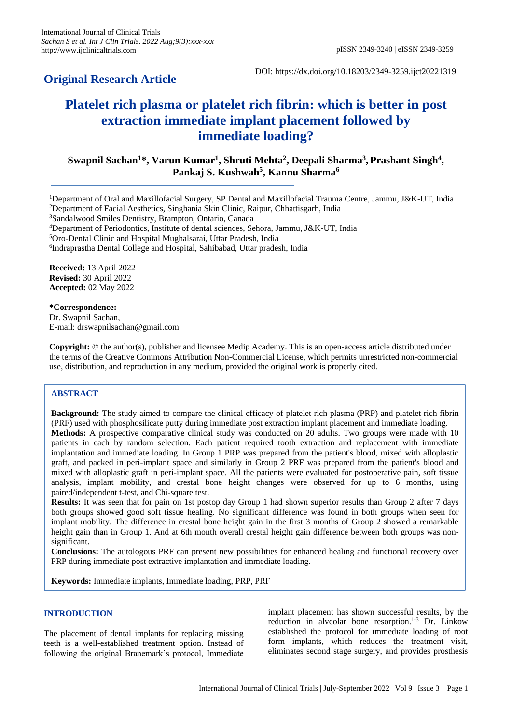# **Original Research Article**

DOI: https://dx.doi.org/10.18203/2349-3259.ijct20221319

# **Platelet rich plasma or platelet rich fibrin: which is better in post extraction immediate implant placement followed by immediate loading?**

**Swapnil Sachan<sup>1</sup>\*, Varun Kumar<sup>1</sup> , Shruti Mehta<sup>2</sup> , Deepali Sharma<sup>3</sup> , Prashant Singh<sup>4</sup> , Pankaj S. Kushwah<sup>5</sup> , Kannu Sharma<sup>6</sup>**

<sup>1</sup>Department of Oral and Maxillofacial Surgery, SP Dental and Maxillofacial Trauma Centre, Jammu, J&K-UT, India <sup>2</sup>Department of Facial Aesthetics, Singhania Skin Clinic, Raipur, Chhattisgarh, India

<sup>3</sup>Sandalwood Smiles Dentistry, Brampton, Ontario, Canada

<sup>4</sup>Department of Periodontics, Institute of dental sciences, Sehora, Jammu, J&K-UT, India

<sup>5</sup>Oro-Dental Clinic and Hospital Mughalsarai, Uttar Pradesh, India

6 Indraprastha Dental College and Hospital, Sahibabad, Uttar pradesh, India

**Received:** 13 April 2022 **Revised:** 30 April 2022 **Accepted:** 02 May 2022

**\*Correspondence:** Dr. Swapnil Sachan, E-mail: drswapnilsachan@gmail.com

**Copyright:** © the author(s), publisher and licensee Medip Academy. This is an open-access article distributed under the terms of the Creative Commons Attribution Non-Commercial License, which permits unrestricted non-commercial use, distribution, and reproduction in any medium, provided the original work is properly cited.

# **ABSTRACT**

**Background:** The study aimed to compare the clinical efficacy of platelet rich plasma (PRP) and platelet rich fibrin (PRF) used with phosphosilicate putty during immediate post extraction implant placement and immediate loading. **Methods:** A prospective comparative clinical study was conducted on 20 adults. Two groups were made with 10 patients in each by random selection. Each patient required tooth extraction and replacement with immediate implantation and immediate loading. In Group 1 PRP was prepared from the patient's blood, mixed with alloplastic graft, and packed in peri-implant space and similarly in Group 2 PRF was prepared from the patient's blood and mixed with alloplastic graft in peri-implant space. All the patients were evaluated for postoperative pain, soft tissue analysis, implant mobility, and crestal bone height changes were observed for up to 6 months, using paired/independent t-test, and Chi-square test.

**Results:** It was seen that for pain on 1st postop day Group 1 had shown superior results than Group 2 after 7 days both groups showed good soft tissue healing. No significant difference was found in both groups when seen for implant mobility. The difference in crestal bone height gain in the first 3 months of Group 2 showed a remarkable height gain than in Group 1. And at 6th month overall crestal height gain difference between both groups was nonsignificant.

**Conclusions:** The autologous PRF can present new possibilities for enhanced healing and functional recovery over PRP during immediate post extractive implantation and immediate loading.

**Keywords:** Immediate implants, Immediate loading, PRP, PRF

# **INTRODUCTION**

The placement of dental implants for replacing missing teeth is a well-established treatment option. Instead of following the original Branemark's protocol, Immediate implant placement has shown successful results, by the reduction in alveolar bone resorption.<sup>1-3</sup> Dr. Linkow established the protocol for immediate loading of root form implants, which reduces the treatment visit, eliminates second stage surgery, and provides prosthesis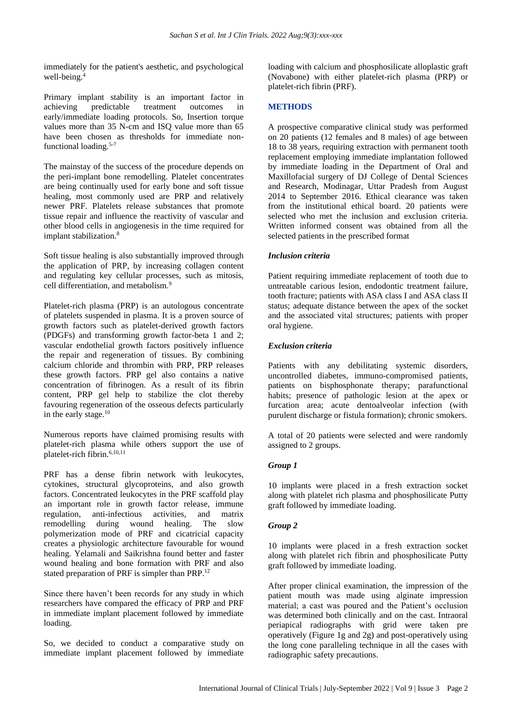immediately for the patient's aesthetic, and psychological well-being.<sup>4</sup>

Primary implant stability is an important factor in achieving predictable treatment outcomes in early/immediate loading protocols. So, Insertion torque values more than 35 N-cm and ISQ value more than 65 have been chosen as thresholds for immediate nonfunctional loading.<sup>5-7</sup>

The mainstay of the success of the procedure depends on the peri-implant bone remodelling. Platelet concentrates are being continually used for early bone and soft tissue healing, most commonly used are PRP and relatively newer PRF. Platelets release substances that promote tissue repair and influence the reactivity of vascular and other blood cells in angiogenesis in the time required for implant stabilization.<sup>8</sup>

Soft tissue healing is also substantially improved through the application of PRP, by increasing collagen content and regulating key cellular processes, such as mitosis, cell differentiation, and metabolism.<sup>9</sup>

Platelet-rich plasma (PRP) is an autologous concentrate of platelets suspended in plasma. It is a proven source of growth factors such as platelet-derived growth factors (PDGFs) and transforming growth factor-beta 1 and 2; vascular endothelial growth factors positively influence the repair and regeneration of tissues. By combining calcium chloride and thrombin with PRP, PRP releases these growth factors. PRP gel also contains a native concentration of fibrinogen. As a result of its fibrin content, PRP gel help to stabilize the clot thereby favouring regeneration of the osseous defects particularly in the early stage.<sup>10</sup>

Numerous reports have claimed promising results with platelet-rich plasma while others support the use of platelet-rich fibrin.6,10,11

PRF has a dense fibrin network with leukocytes, cytokines, structural glycoproteins, and also growth factors. Concentrated leukocytes in the PRF scaffold play an important role in growth factor release, immune regulation, anti-infectious activities, and matrix remodelling during wound healing. The slow polymerization mode of PRF and cicatricial capacity creates a physiologic architecture favourable for wound healing. Yelamali and Saikrishna found better and faster wound healing and bone formation with PRF and also stated preparation of PRF is simpler than PRP.<sup>12</sup>

Since there haven't been records for any study in which researchers have compared the efficacy of PRP and PRF in immediate implant placement followed by immediate loading.

So, we decided to conduct a comparative study on immediate implant placement followed by immediate loading with calcium and phosphosilicate alloplastic graft (Novabone) with either platelet-rich plasma (PRP) or platelet-rich fibrin (PRF).

# **METHODS**

A prospective comparative clinical study was performed on 20 patients (12 females and 8 males) of age between 18 to 38 years, requiring extraction with permanent tooth replacement employing immediate implantation followed by immediate loading in the Department of Oral and Maxillofacial surgery of DJ College of Dental Sciences and Research, Modinagar, Uttar Pradesh from August 2014 to September 2016. Ethical clearance was taken from the institutional ethical board. 20 patients were selected who met the inclusion and exclusion criteria. Written informed consent was obtained from all the selected patients in the prescribed format

# *Inclusion criteria*

Patient requiring immediate replacement of tooth due to untreatable carious lesion, endodontic treatment failure, tooth fracture; patients with ASA class I and ASA class II status; adequate distance between the apex of the socket and the associated vital structures; patients with proper oral hygiene.

# *Exclusion criteria*

Patients with any debilitating systemic disorders, uncontrolled diabetes, immuno-compromised patients, patients on bisphosphonate therapy; parafunctional habits; presence of pathologic lesion at the apex or furcation area; acute dentoalveolar infection (with purulent discharge or fistula formation); chronic smokers.

A total of 20 patients were selected and were randomly assigned to 2 groups.

# *Group 1*

10 implants were placed in a fresh extraction socket along with platelet rich plasma and phosphosilicate Putty graft followed by immediate loading.

# *Group 2*

10 implants were placed in a fresh extraction socket along with platelet rich fibrin and phosphosilicate Putty graft followed by immediate loading.

After proper clinical examination, the impression of the patient mouth was made using alginate impression material; a cast was poured and the Patient's occlusion was determined both clinically and on the cast. Intraoral periapical radiographs with grid were taken pre operatively (Figure 1g and 2g) and post-operatively using the long cone paralleling technique in all the cases with radiographic safety precautions.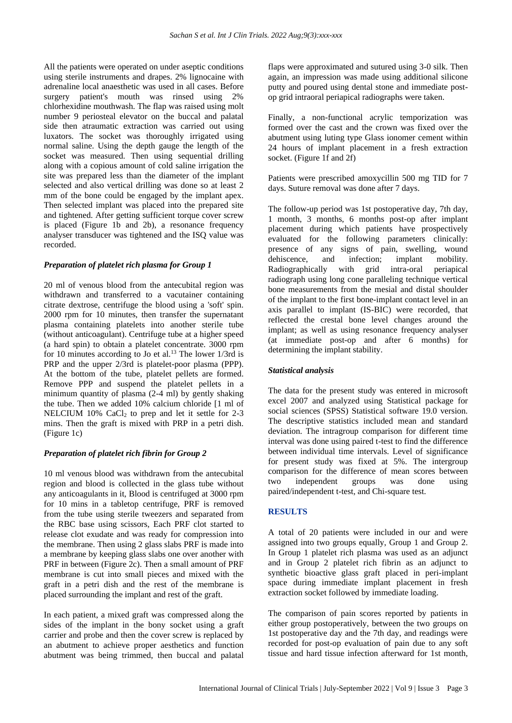All the patients were operated on under aseptic conditions using sterile instruments and drapes. 2% lignocaine with adrenaline local anaesthetic was used in all cases. Before surgery patient's mouth was rinsed using 2% chlorhexidine mouthwash. The flap was raised using molt number 9 periosteal elevator on the buccal and palatal side then atraumatic extraction was carried out using luxators. The socket was thoroughly irrigated using normal saline. Using the depth gauge the length of the socket was measured. Then using sequential drilling along with a copious amount of cold saline irrigation the site was prepared less than the diameter of the implant selected and also vertical drilling was done so at least 2 mm of the bone could be engaged by the implant apex. Then selected implant was placed into the prepared site and tightened. After getting sufficient torque cover screw is placed (Figure 1b and 2b), a resonance frequency analyser transducer was tightened and the ISQ value was recorded.

# *Preparation of platelet rich plasma for Group 1*

20 ml of venous blood from the antecubital region was withdrawn and transferred to a vacutainer containing citrate dextrose, centrifuge the blood using a 'soft' spin. 2000 rpm for 10 minutes, then transfer the supernatant plasma containing platelets into another sterile tube (without anticoagulant). Centrifuge tube at a higher speed (a hard spin) to obtain a platelet concentrate. 3000 rpm for 10 minutes according to Jo et al.<sup>13</sup> The lower  $1/3$ rd is PRP and the upper 2/3rd is platelet-poor plasma (PPP). At the bottom of the tube, platelet pellets are formed. Remove PPP and suspend the platelet pellets in a minimum quantity of plasma (2-4 ml) by gently shaking the tube. Then we added 10% calcium chloride [1 ml of NELCIUM  $10\%$  CaCl<sub>2</sub> to prep and let it settle for 2-3 mins. Then the graft is mixed with PRP in a petri dish. (Figure 1c)

# *Preparation of platelet rich fibrin for Group 2*

10 ml venous blood was withdrawn from the antecubital region and blood is collected in the glass tube without any anticoagulants in it, Blood is centrifuged at 3000 rpm for 10 mins in a tabletop centrifuge, PRF is removed from the tube using sterile tweezers and separated from the RBC base using scissors, Each PRF clot started to release clot exudate and was ready for compression into the membrane. Then using 2 glass slabs PRF is made into a membrane by keeping glass slabs one over another with PRF in between (Figure 2c). Then a small amount of PRF membrane is cut into small pieces and mixed with the graft in a petri dish and the rest of the membrane is placed surrounding the implant and rest of the graft.

In each patient, a mixed graft was compressed along the sides of the implant in the bony socket using a graft carrier and probe and then the cover screw is replaced by an abutment to achieve proper aesthetics and function abutment was being trimmed, then buccal and palatal flaps were approximated and sutured using 3-0 silk. Then again, an impression was made using additional silicone putty and poured using dental stone and immediate postop grid intraoral periapical radiographs were taken.

Finally, a non-functional acrylic temporization was formed over the cast and the crown was fixed over the abutment using luting type Glass ionomer cement within 24 hours of implant placement in a fresh extraction socket. (Figure 1f and 2f)

Patients were prescribed amoxycillin 500 mg TID for 7 days. Suture removal was done after 7 days.

The follow-up period was 1st postoperative day, 7th day, 1 month, 3 months, 6 months post-op after implant placement during which patients have prospectively evaluated for the following parameters clinically: presence of any signs of pain, swelling, wound dehiscence, and infection; implant mobility. Radiographically with grid intra-oral periapical radiograph using long cone paralleling technique vertical bone measurements from the mesial and distal shoulder of the implant to the first bone-implant contact level in an axis parallel to implant (IS-BIC) were recorded, that reflected the crestal bone level changes around the implant; as well as using resonance frequency analyser (at immediate post-op and after 6 months) for determining the implant stability.

# *Statistical analysis*

The data for the present study was entered in microsoft excel 2007 and analyzed using Statistical package for social sciences (SPSS) Statistical software 19.0 version. The descriptive statistics included mean and standard deviation. The intragroup comparison for different time interval was done using paired t-test to find the difference between individual time intervals. Level of significance for present study was fixed at 5%. The intergroup comparison for the difference of mean scores between two independent groups was done using paired/independent t-test, and Chi-square test.

#### **RESULTS**

A total of 20 patients were included in our and were assigned into two groups equally, Group 1 and Group 2. In Group 1 platelet rich plasma was used as an adjunct and in Group 2 platelet rich fibrin as an adjunct to synthetic bioactive glass graft placed in peri-implant space during immediate implant placement in fresh extraction socket followed by immediate loading.

The comparison of pain scores reported by patients in either group postoperatively, between the two groups on 1st postoperative day and the 7th day, and readings were recorded for post-op evaluation of pain due to any soft tissue and hard tissue infection afterward for 1st month,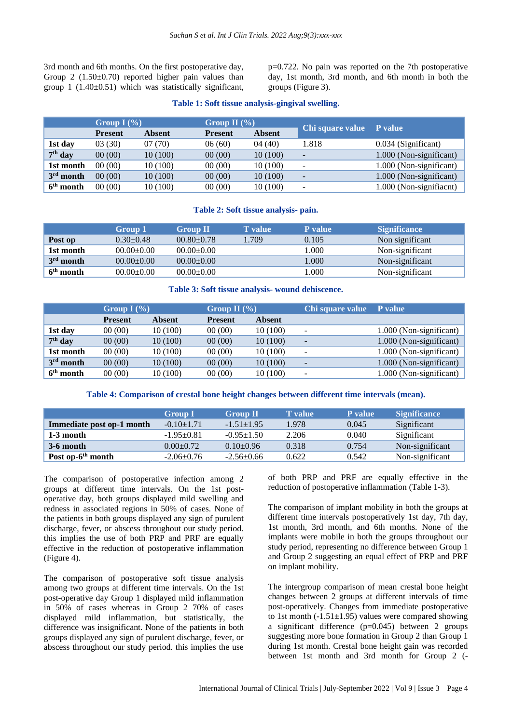3rd month and 6th months. On the first postoperative day, Group 2  $(1.50\pm0.70)$  reported higher pain values than group 1  $(1.40\pm0.51)$  which was statistically significant, p=0.722. No pain was reported on the 7th postoperative day, 1st month, 3rd month, and 6th month in both the groups (Figure 3).

# **Table 1: Soft tissue analysis-gingival swelling.**

|             | Group I $(\% )$ |               | Group II $(\% )$ |               | Chi square value P value |                           |
|-------------|-----------------|---------------|------------------|---------------|--------------------------|---------------------------|
|             | <b>Present</b>  | <b>Absent</b> | <b>Present</b>   | <b>Absent</b> |                          |                           |
| 1st day     | 03(30)          | 07(70)        | 06(60)           | 04(40)        | 1.818                    | 0.034 (Significant)       |
| $7th$ day   | 00(00)          | 10(100)       | 00(00)           | 10(100)       | $\overline{\phantom{0}}$ | 1.000 (Non-significant)   |
| 1st month   | 00(00)          | 10 (100)      | 00(00)           | 10 (100)      | -                        | 1.000 (Non-significant)   |
| $3rd$ month | 00(00)          | 10(100)       | 00(00)           | 10(100)       | $\blacksquare$           | 1.000 (Non-significant)   |
| $6th$ month | 00(00)          | 10(100)       | 00(00)           | 10 (100)      | $\overline{\phantom{m}}$ | $1.000$ (Non-signifiacnt) |

# **Table 2: Soft tissue analysis- pain.**

|             | Group 1         | <b>Group II</b>  | <b>T</b> value | <b>P</b> value | <b>Significance</b> |
|-------------|-----------------|------------------|----------------|----------------|---------------------|
| Post op     | $0.30 \pm 0.48$ | $00.80 \pm 0.78$ | 1.709          | 0.105          | Non significant     |
| 1st month   | $00.00 + 0.00$  | $00.00 \pm 0.00$ |                | .000           | Non-significant     |
| $3rd$ month | $00.00+0.00$    | $00.00+0.00$     |                | .000.          | Non-significant     |
| $6th$ month | $00.00 + 0.00$  | $00.00 \pm 0.00$ |                | .000           | Non-significant     |

# **Table 3: Soft tissue analysis- wound dehiscence.**

|             | Group I $(\% )$ |          | Group II $(\% )$ |               | Chi square value         | P value                 |
|-------------|-----------------|----------|------------------|---------------|--------------------------|-------------------------|
|             | <b>Present</b>  | Absent   | <b>Present</b>   | <b>Absent</b> |                          |                         |
| 1st day     | 00(00)          | 10 (100) | 00(00)           | 10(100)       | $\overline{\phantom{a}}$ | 1.000 (Non-significant) |
| $7th$ day   | 00(00)          | 10(100)  | 00(00)           | 10(100)       | $\overline{\phantom{a}}$ | 1.000 (Non-significant) |
| 1st month   | 00(00)          | 10(100)  | 00(00)           | 10 (100)      | $\overline{\phantom{a}}$ | 1.000 (Non-significant) |
| $3rd$ month | 00(00)          | 10(100)  | 00(00)           | 10(100)       | $\overline{\phantom{a}}$ | 1.000 (Non-significant) |
| $6th$ month | 00(00)          | 10 (100) | 00(00)           | 10(100)       | $\blacksquare$           | 1.000 (Non-significant) |

# **Table 4: Comparison of crestal bone height changes between different time intervals (mean).**

|                               | <b>Group I</b>   | <b>Group II</b>  | <b>T</b> value | <b>P</b> value | <b>Significance</b> |
|-------------------------------|------------------|------------------|----------------|----------------|---------------------|
| Immediate post op-1 month     | $-0.10 \pm 1.71$ | $-1.51 \pm 1.95$ | 1.978          | 0.045          | Significant         |
| $1-3$ month                   | $-1.95+0.81$     | $-0.95 \pm 1.50$ | 2.206          | 0.040          | Significant         |
| $3-6$ month                   | $0.00 \pm 0.72$  | $0.10 \pm 0.96$  | 0.318          | 0.754          | Non-significant     |
| Post op-6 <sup>th</sup> month | $-2.06\pm0.76$   | $-2.56 \pm 0.66$ | 0.622          | 0.542          | Non-significant     |

The comparison of postoperative infection among 2 groups at different time intervals. On the 1st postoperative day, both groups displayed mild swelling and redness in associated regions in 50% of cases. None of the patients in both groups displayed any sign of purulent discharge, fever, or abscess throughout our study period. this implies the use of both PRP and PRF are equally effective in the reduction of postoperative inflammation (Figure 4).

The comparison of postoperative soft tissue analysis among two groups at different time intervals. On the 1st post-operative day Group 1 displayed mild inflammation in 50% of cases whereas in Group 2 70% of cases displayed mild inflammation, but statistically, the difference was insignificant. None of the patients in both groups displayed any sign of purulent discharge, fever, or abscess throughout our study period. this implies the use of both PRP and PRF are equally effective in the reduction of postoperative inflammation (Table 1-3).

The comparison of implant mobility in both the groups at different time intervals postoperatively 1st day, 7th day, 1st month, 3rd month, and 6th months. None of the implants were mobile in both the groups throughout our study period, representing no difference between Group 1 and Group 2 suggesting an equal effect of PRP and PRF on implant mobility.

The intergroup comparison of mean crestal bone height changes between 2 groups at different intervals of time post-operatively. Changes from immediate postoperative to 1st month  $(-1.51\pm1.95)$  values were compared showing a significant difference (p=0.045) between 2 groups suggesting more bone formation in Group 2 than Group 1 during 1st month. Crestal bone height gain was recorded between 1st month and 3rd month for Group 2 (-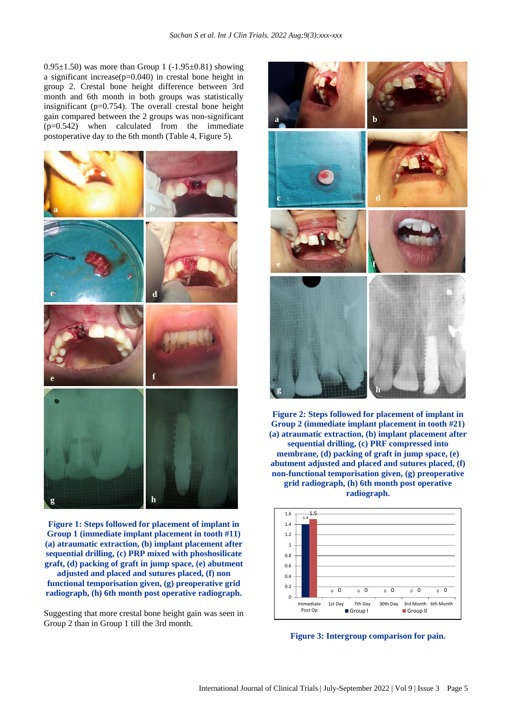0.95 $\pm$ 1.50) was more than Group 1 (-1.95 $\pm$ 0.81) showing a significant increase $(p=0.040)$  in crestal bone height in group 2. Crestal bone height difference between 3rd month and 6th month in both groups was statistically insignificant ( $p=0.754$ ). The overall crestal bone height gain compared between the 2 groups was non-significant (p=0.542) when calculated from the immediate postoperative day to the 6th month (Table 4, Figure 5).



**Figure 1: Steps followed for placement of implant in Group 1 (immediate implant placement in tooth #11) (a) atraumatic extraction, (b) implant placement after sequential drilling, (c) PRP mixed with phoshosilicate graft, (d) packing of graft in jump space, (e) abutment adjusted and placed and sutures placed, (f) non** 

**functional temporisation given, (g) preoperative grid radiograph, (h) 6th month post operative radiograph.**

Suggesting that more crestal bone height gain was seen in Group 2 than in Group 1 till the 3rd month.



**Figure 2: Steps followed for placement of implant in Group 2 (immediate implant placement in tooth #21) (a) atraumatic extraction, (b) implant placement after sequential drilling, (c) PRF compressed into membrane, (d) packing of graft in jump space, (e) abutment adjusted and placed and sutures placed, (f) non-functional temporisation given, (g) preoperative grid radiograph, (h) 6th month post operative radiograph.**



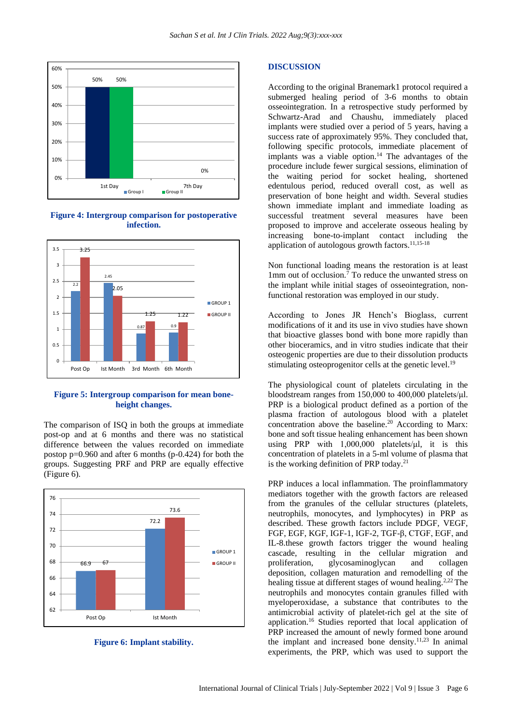

**Figure 4: Intergroup comparison for postoperative infection.**



# **Figure 5: Intergroup comparison for mean boneheight changes.**

The comparison of ISQ in both the groups at immediate post-op and at 6 months and there was no statistical difference between the values recorded on immediate postop p=0.960 and after 6 months (p-0.424) for both the groups. Suggesting PRF and PRP are equally effective (Figure 6).



**Figure 6: Implant stability.**

#### **DISCUSSION**

According to the original Branemark1 protocol required a submerged healing period of 3-6 months to obtain osseointegration. In a retrospective study performed by Schwartz-Arad and Chaushu, immediately placed implants were studied over a period of 5 years, having a success rate of approximately 95%. They concluded that, following specific protocols, immediate placement of implants was a viable option.<sup>14</sup> The advantages of the procedure include fewer surgical sessions, elimination of the waiting period for socket healing, shortened edentulous period, reduced overall cost, as well as preservation of bone height and width. Several studies shown immediate implant and immediate loading as successful treatment several measures have been proposed to improve and accelerate osseous healing by increasing bone-to-implant contact including the application of autologous growth factors.<sup>11,15-18</sup>

Non functional loading means the restoration is at least 1mm out of occlusion.<sup>7</sup> To reduce the unwanted stress on the implant while initial stages of osseointegration, nonfunctional restoration was employed in our study.

According to Jones JR Hench's Bioglass, current modifications of it and its use in vivo studies have shown that bioactive glasses bond with bone more rapidly than other bioceramics, and in vitro studies indicate that their osteogenic properties are due to their dissolution products stimulating osteoprogenitor cells at the genetic level.<sup>19</sup>

The physiological count of platelets circulating in the bloodstream ranges from 150,000 to 400,000 platelets/μl. PRP is a biological product defined as a portion of the plasma fraction of autologous blood with a platelet concentration above the baseline.<sup>20</sup> According to Marx: bone and soft tissue healing enhancement has been shown using PRP with 1,000,000 platelets/μl, it is this concentration of platelets in a 5-ml volume of plasma that is the working definition of PRP today.<sup>21</sup>

PRP induces a local inflammation. The proinflammatory mediators together with the growth factors are released from the granules of the cellular structures (platelets, neutrophils, monocytes, and lymphocytes) in PRP as described. These growth factors include PDGF, VEGF, FGF, EGF, KGF, IGF-1, IGF-2, TGF-β, CTGF, EGF, and IL-8.these growth factors trigger the wound healing cascade, resulting in the cellular migration and proliferation, glycosaminoglycan and collagen deposition, collagen maturation and remodelling of the healing tissue at different stages of wound healing.<sup>2,22</sup> The neutrophils and monocytes contain granules filled with myeloperoxidase, a substance that contributes to the antimicrobial activity of platelet-rich gel at the site of application.<sup>16</sup> Studies reported that local application of PRP increased the amount of newly formed bone around the implant and increased bone density.11,23 In animal experiments, the PRP, which was used to support the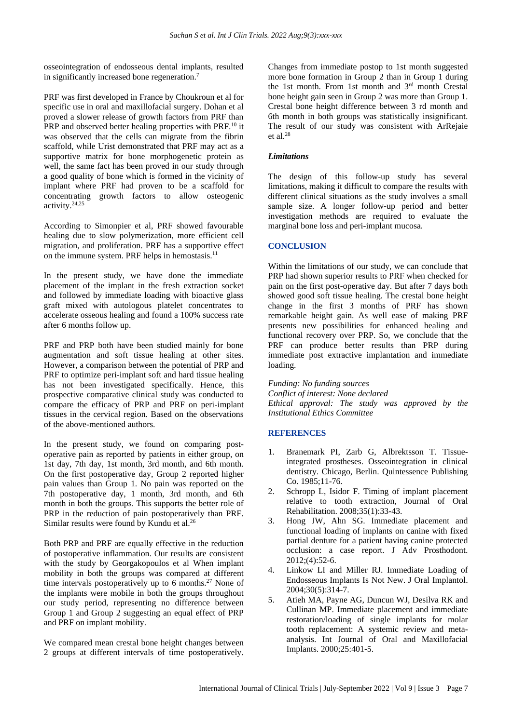osseointegration of endosseous dental implants, resulted in significantly increased bone regeneration.<sup>7</sup>

PRF was first developed in France by Choukroun et al for specific use in oral and maxillofacial surgery. Dohan et al proved a slower release of growth factors from PRF than PRP and observed better healing properties with PRF.<sup>10</sup> it was observed that the cells can migrate from the fibrin scaffold, while Urist demonstrated that PRF may act as a supportive matrix for bone morphogenetic protein as well, the same fact has been proved in our study through a good quality of bone which is formed in the vicinity of implant where PRF had proven to be a scaffold for concentrating growth factors to allow osteogenic activity.24,25

According to Simonpier et al, PRF showed favourable healing due to slow polymerization, more efficient cell migration, and proliferation. PRF has a supportive effect on the immune system. PRF helps in hemostasis. $<sup>11</sup>$ </sup>

In the present study, we have done the immediate placement of the implant in the fresh extraction socket and followed by immediate loading with bioactive glass graft mixed with autologous platelet concentrates to accelerate osseous healing and found a 100% success rate after 6 months follow up.

PRF and PRP both have been studied mainly for bone augmentation and soft tissue healing at other sites. However, a comparison between the potential of PRP and PRF to optimize peri-implant soft and hard tissue healing has not been investigated specifically. Hence, this prospective comparative clinical study was conducted to compare the efficacy of PRP and PRF on peri-implant tissues in the cervical region. Based on the observations of the above-mentioned authors.

In the present study, we found on comparing postoperative pain as reported by patients in either group, on 1st day, 7th day, 1st month, 3rd month, and 6th month. On the first postoperative day, Group 2 reported higher pain values than Group 1. No pain was reported on the 7th postoperative day, 1 month, 3rd month, and 6th month in both the groups. This supports the better role of PRP in the reduction of pain postoperatively than PRF. Similar results were found by Kundu et al.<sup>26</sup>

Both PRP and PRF are equally effective in the reduction of postoperative inflammation. Our results are consistent with the study by Georgakopoulos et al When implant mobility in both the groups was compared at different time intervals postoperatively up to 6 months.<sup>27</sup> None of the implants were mobile in both the groups throughout our study period, representing no difference between Group 1 and Group 2 suggesting an equal effect of PRP and PRF on implant mobility.

We compared mean crestal bone height changes between 2 groups at different intervals of time postoperatively. Changes from immediate postop to 1st month suggested more bone formation in Group 2 than in Group 1 during the 1st month. From 1st month and 3rd month Crestal bone height gain seen in Group 2 was more than Group 1. Crestal bone height difference between 3 rd month and 6th month in both groups was statistically insignificant. The result of our study was consistent with ArRejaie et al. $28$ 

#### *Limitations*

The design of this follow-up study has several limitations, making it difficult to compare the results with different clinical situations as the study involves a small sample size. A longer follow-up period and better investigation methods are required to evaluate the marginal bone loss and peri-implant mucosa.

# **CONCLUSION**

Within the limitations of our study, we can conclude that PRP had shown superior results to PRF when checked for pain on the first post-operative day. But after 7 days both showed good soft tissue healing. The crestal bone height change in the first 3 months of PRF has shown remarkable height gain. As well ease of making PRF presents new possibilities for enhanced healing and functional recovery over PRP. So, we conclude that the PRF can produce better results than PRP during immediate post extractive implantation and immediate loading.

*Funding: No funding sources Conflict of interest: None declared Ethical approval: The study was approved by the Institutional Ethics Committee*

#### **REFERENCES**

- 1. Branemark PI, Zarb G, Albrektsson T. Tissueintegrated prostheses. Osseointegration in clinical dentistry. Chicago, Berlin. Quintessence Publishing Co. 1985;11-76.
- 2. Schropp L, Isidor F. Timing of implant placement relative to tooth extraction, Journal of Oral Rehabilitation. 2008;35(1):33-43.
- 3. Hong JW, Ahn SG. Immediate placement and functional loading of implants on canine with fixed partial denture for a patient having canine protected occlusion: a case report. J Adv Prosthodont.  $2012$ ;(4):52-6.
- 4. Linkow LI and Miller RJ. Immediate Loading of Endosseous Implants Is Not New. J Oral Implantol. 2004;30(5):314-7.
- 5. Atieh MA, Payne AG, Duncun WJ, Desilva RK and Cullinan MP. Immediate placement and immediate restoration/loading of single implants for molar tooth replacement: A systemic review and metaanalysis. Int Journal of Oral and Maxillofacial Implants. 2000;25:401-5.